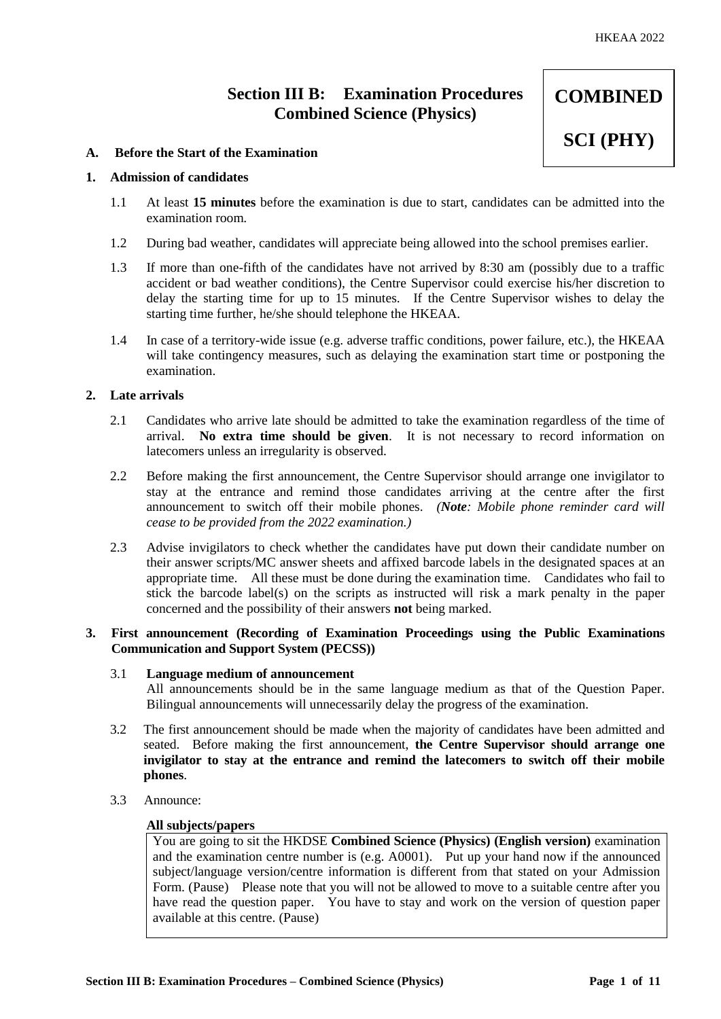**COMBINED** 

**SCI (PHY)**

# **Section III B: Examination Procedures Combined Science (Physics)**

# **A. Before the Start of the Examination**

# **1. Admission of candidates**

- 1.1 At least **15 minutes** before the examination is due to start, candidates can be admitted into the examination room.
- 1.2 During bad weather, candidates will appreciate being allowed into the school premises earlier.
- 1.3 If more than one-fifth of the candidates have not arrived by 8:30 am (possibly due to a traffic accident or bad weather conditions), the Centre Supervisor could exercise his/her discretion to delay the starting time for up to 15 minutes. If the Centre Supervisor wishes to delay the starting time further, he/she should telephone the HKEAA.
- 1.4 In case of a territory-wide issue (e.g. adverse traffic conditions, power failure, etc.), the HKEAA will take contingency measures, such as delaying the examination start time or postponing the examination.

# **2. Late arrivals**

- 2.1 Candidates who arrive late should be admitted to take the examination regardless of the time of arrival. **No extra time should be given**. It is not necessary to record information on latecomers unless an irregularity is observed.
- 2.2 Before making the first announcement, the Centre Supervisor should arrange one invigilator to stay at the entrance and remind those candidates arriving at the centre after the first announcement to switch off their mobile phones. *(Note: Mobile phone reminder card will cease to be provided from the 2022 examination.)*
- 2.3 Advise invigilators to check whether the candidates have put down their candidate number on their answer scripts/MC answer sheets and affixed barcode labels in the designated spaces at an appropriate time. All these must be done during the examination time. Candidates who fail to stick the barcode label(s) on the scripts as instructed will risk a mark penalty in the paper concerned and the possibility of their answers **not** being marked.

# **3. First announcement (Recording of Examination Proceedings using the Public Examinations Communication and Support System (PECSS))**

### 3.1 **Language medium of announcement**

All announcements should be in the same language medium as that of the Question Paper. Bilingual announcements will unnecessarily delay the progress of the examination.

- 3.2 The first announcement should be made when the majority of candidates have been admitted and seated. Before making the first announcement, **the Centre Supervisor should arrange one invigilator to stay at the entrance and remind the latecomers to switch off their mobile phones**.
- 3.3 Announce:

#### **All subjects/papers**

You are going to sit the HKDSE **Combined Science (Physics) (English version)** examination and the examination centre number is (e.g. A0001). Put up your hand now if the announced subject/language version/centre information is different from that stated on your Admission Form. (Pause) Please note that you will not be allowed to move to a suitable centre after you have read the question paper. You have to stay and work on the version of question paper available at this centre. (Pause)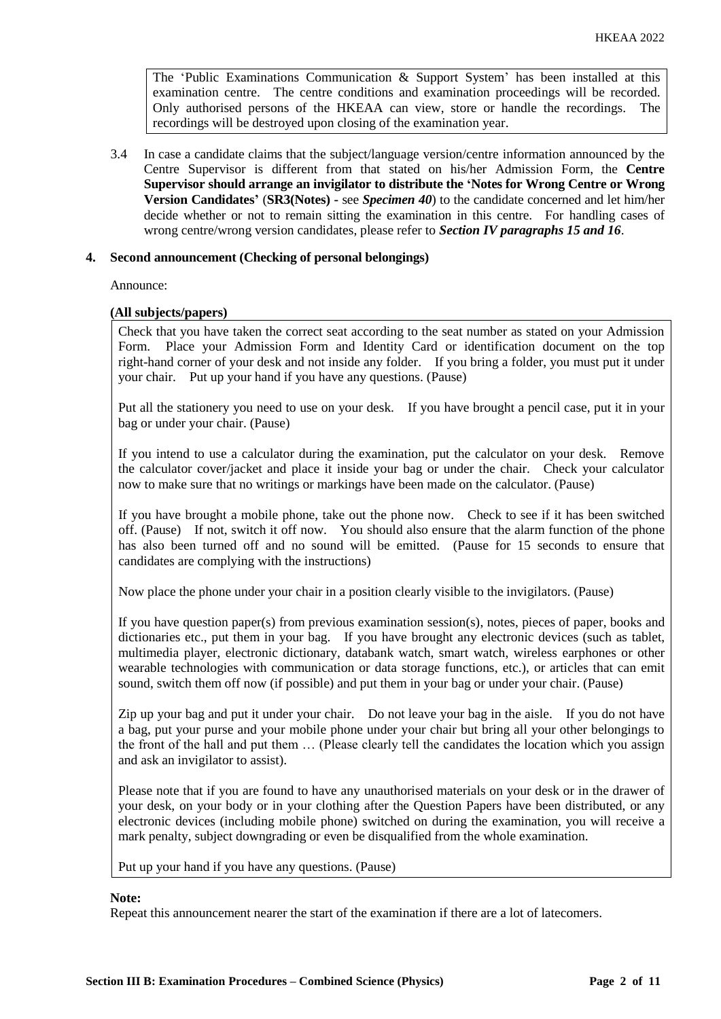The 'Public Examinations Communication  $\&$  Support System' has been installed at this examination centre. The centre conditions and examination proceedings will be recorded. Only authorised persons of the HKEAA can view, store or handle the recordings. The recordings will be destroyed upon closing of the examination year.

3.4 In case a candidate claims that the subject/language version/centre information announced by the Centre Supervisor is different from that stated on his/her Admission Form, the **Centre Supervisor should arrange an invigilator to distribute the 'Notes for Wrong Centre or Wrong Version Candidates'** (**SR3(Notes) -** see *Specimen 40*) to the candidate concerned and let him/her decide whether or not to remain sitting the examination in this centre. For handling cases of wrong centre/wrong version candidates, please refer to *Section IV paragraphs 15 and 16*.

# **4. Second announcement (Checking of personal belongings)**

Announce:

# **(All subjects/papers)**

Check that you have taken the correct seat according to the seat number as stated on your Admission Form. Place your Admission Form and Identity Card or identification document on the top right-hand corner of your desk and not inside any folder. If you bring a folder, you must put it under your chair. Put up your hand if you have any questions. (Pause)

Put all the stationery you need to use on your desk. If you have brought a pencil case, put it in your bag or under your chair. (Pause)

If you intend to use a calculator during the examination, put the calculator on your desk. Remove the calculator cover/jacket and place it inside your bag or under the chair. Check your calculator now to make sure that no writings or markings have been made on the calculator. (Pause)

If you have brought a mobile phone, take out the phone now. Check to see if it has been switched off. (Pause) If not, switch it off now. You should also ensure that the alarm function of the phone has also been turned off and no sound will be emitted. (Pause for 15 seconds to ensure that candidates are complying with the instructions)

Now place the phone under your chair in a position clearly visible to the invigilators. (Pause)

If you have question paper(s) from previous examination session(s), notes, pieces of paper, books and dictionaries etc., put them in your bag. If you have brought any electronic devices (such as tablet, multimedia player, electronic dictionary, databank watch, smart watch, wireless earphones or other wearable technologies with communication or data storage functions, etc.), or articles that can emit sound, switch them off now (if possible) and put them in your bag or under your chair. (Pause)

Zip up your bag and put it under your chair. Do not leave your bag in the aisle. If you do not have a bag, put your purse and your mobile phone under your chair but bring all your other belongings to the front of the hall and put them … (Please clearly tell the candidates the location which you assign and ask an invigilator to assist).

Please note that if you are found to have any unauthorised materials on your desk or in the drawer of your desk, on your body or in your clothing after the Question Papers have been distributed, or any electronic devices (including mobile phone) switched on during the examination, you will receive a mark penalty, subject downgrading or even be disqualified from the whole examination.

Put up your hand if you have any questions. (Pause)

#### **Note:**

Repeat this announcement nearer the start of the examination if there are a lot of latecomers.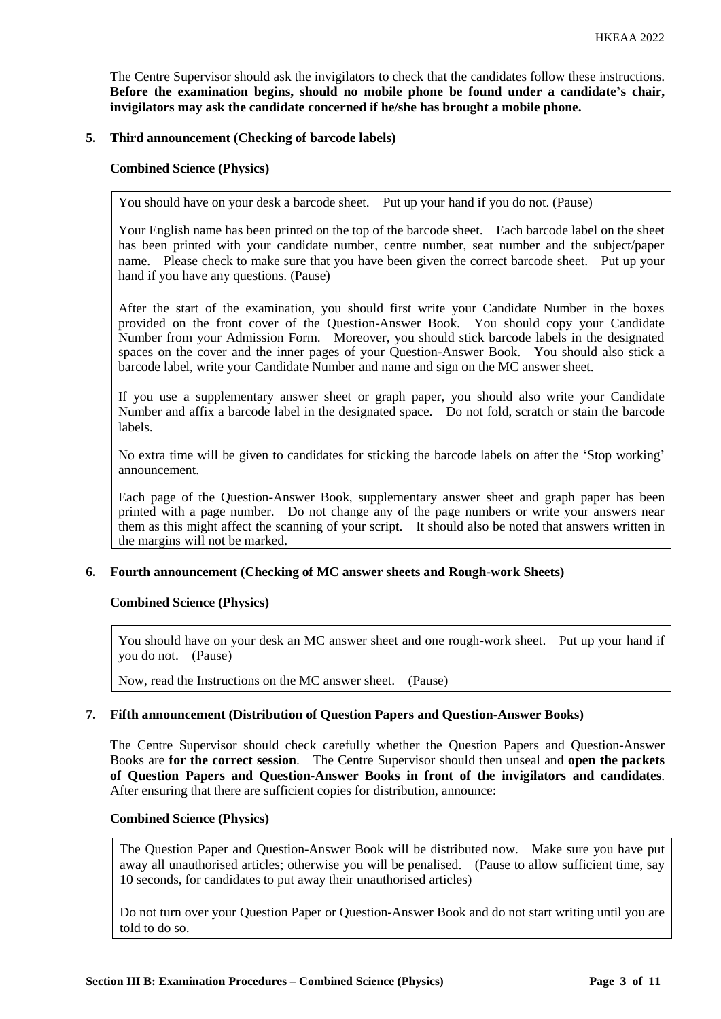The Centre Supervisor should ask the invigilators to check that the candidates follow these instructions. **Before the examination begins, should no mobile phone be found under a candidate's chair, invigilators may ask the candidate concerned if he/she has brought a mobile phone.**

# **5. Third announcement (Checking of barcode labels)**

### **Combined Science (Physics)**

You should have on your desk a barcode sheet. Put up your hand if you do not. (Pause)

Your English name has been printed on the top of the barcode sheet. Each barcode label on the sheet has been printed with your candidate number, centre number, seat number and the subject/paper name. Please check to make sure that you have been given the correct barcode sheet. Put up your hand if you have any questions. (Pause)

After the start of the examination, you should first write your Candidate Number in the boxes provided on the front cover of the Question-Answer Book. You should copy your Candidate Number from your Admission Form. Moreover, you should stick barcode labels in the designated spaces on the cover and the inner pages of your Question-Answer Book. You should also stick a barcode label, write your Candidate Number and name and sign on the MC answer sheet.

If you use a supplementary answer sheet or graph paper, you should also write your Candidate Number and affix a barcode label in the designated space. Do not fold, scratch or stain the barcode labels.

No extra time will be given to candidates for sticking the barcode labels on after the 'Stop working' announcement.

Each page of the Question-Answer Book, supplementary answer sheet and graph paper has been printed with a page number. Do not change any of the page numbers or write your answers near them as this might affect the scanning of your script. It should also be noted that answers written in the margins will not be marked.

# **6. Fourth announcement (Checking of MC answer sheets and Rough-work Sheets)**

#### **Combined Science (Physics)**

You should have on your desk an MC answer sheet and one rough-work sheet. Put up your hand if you do not. (Pause)

Now, read the Instructions on the MC answer sheet. (Pause)

# **7. Fifth announcement (Distribution of Question Papers and Question-Answer Books)**

The Centre Supervisor should check carefully whether the Question Papers and Question-Answer Books are **for the correct session**. The Centre Supervisor should then unseal and **open the packets of Question Papers and Question-Answer Books in front of the invigilators and candidates**. After ensuring that there are sufficient copies for distribution, announce:

#### **Combined Science (Physics)**

The Question Paper and Question-Answer Book will be distributed now. Make sure you have put away all unauthorised articles; otherwise you will be penalised. (Pause to allow sufficient time, say 10 seconds, for candidates to put away their unauthorised articles)

Do not turn over your Question Paper or Question-Answer Book and do not start writing until you are told to do so.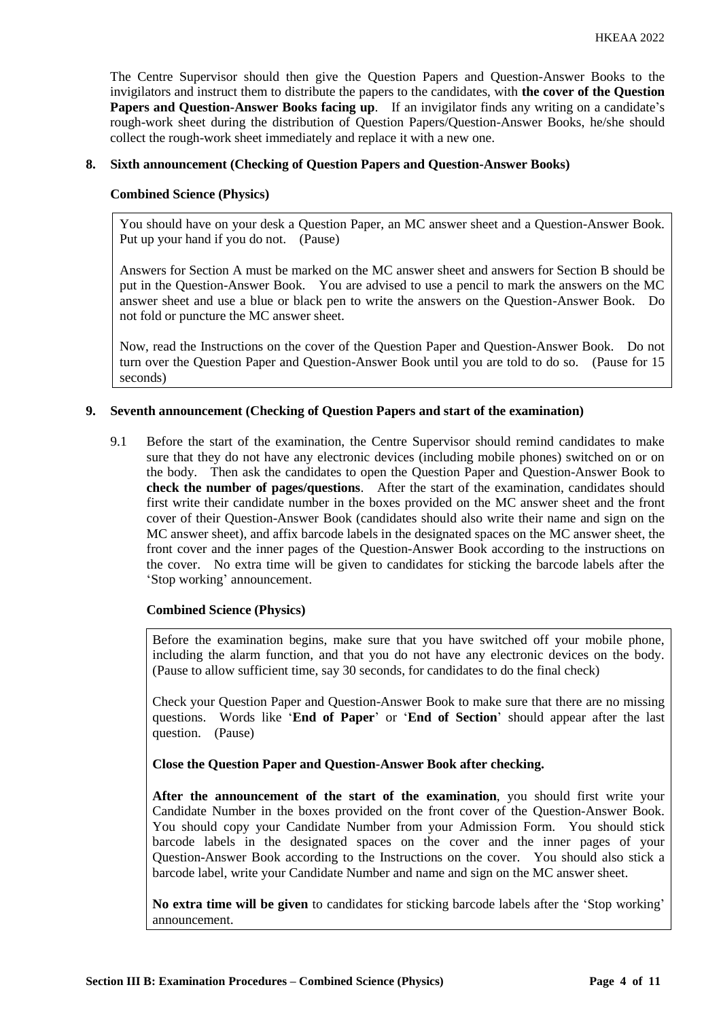The Centre Supervisor should then give the Question Papers and Question-Answer Books to the invigilators and instruct them to distribute the papers to the candidates, with **the cover of the Question Papers and Question-Answer Books facing up**. If an invigilator finds any writing on a candidate's rough-work sheet during the distribution of Question Papers/Question-Answer Books, he/she should collect the rough-work sheet immediately and replace it with a new one.

# **8. Sixth announcement (Checking of Question Papers and Question-Answer Books)**

### **Combined Science (Physics)**

You should have on your desk a Question Paper, an MC answer sheet and a Question-Answer Book. Put up your hand if you do not. (Pause)

Answers for Section A must be marked on the MC answer sheet and answers for Section B should be put in the Question-Answer Book. You are advised to use a pencil to mark the answers on the MC answer sheet and use a blue or black pen to write the answers on the Question-Answer Book. Do not fold or puncture the MC answer sheet.

Now, read the Instructions on the cover of the Question Paper and Question-Answer Book. Do not turn over the Question Paper and Question-Answer Book until you are told to do so. (Pause for 15 seconds)

# **9. Seventh announcement (Checking of Question Papers and start of the examination)**

9.1 Before the start of the examination, the Centre Supervisor should remind candidates to make sure that they do not have any electronic devices (including mobile phones) switched on or on the body. Then ask the candidates to open the Question Paper and Question-Answer Book to **check the number of pages/questions**. After the start of the examination, candidates should first write their candidate number in the boxes provided on the MC answer sheet and the front cover of their Question-Answer Book (candidates should also write their name and sign on the MC answer sheet), and affix barcode labels in the designated spaces on the MC answer sheet, the front cover and the inner pages of the Question-Answer Book according to the instructions on the cover. No extra time will be given to candidates for sticking the barcode labels after the 'Stop working' announcement.

#### **Combined Science (Physics)**

Before the examination begins, make sure that you have switched off your mobile phone, including the alarm function, and that you do not have any electronic devices on the body. (Pause to allow sufficient time, say 30 seconds, for candidates to do the final check)

Check your Question Paper and Question-Answer Book to make sure that there are no missing questions. Words like '**End of Paper**' or '**End of Section**' should appear after the last question. (Pause)

**Close the Question Paper and Question-Answer Book after checking.**

**After the announcement of the start of the examination**, you should first write your Candidate Number in the boxes provided on the front cover of the Question-Answer Book. You should copy your Candidate Number from your Admission Form. You should stick barcode labels in the designated spaces on the cover and the inner pages of your Question-Answer Book according to the Instructions on the cover. You should also stick a barcode label, write your Candidate Number and name and sign on the MC answer sheet.

**No extra time will be given** to candidates for sticking barcode labels after the 'Stop working' announcement.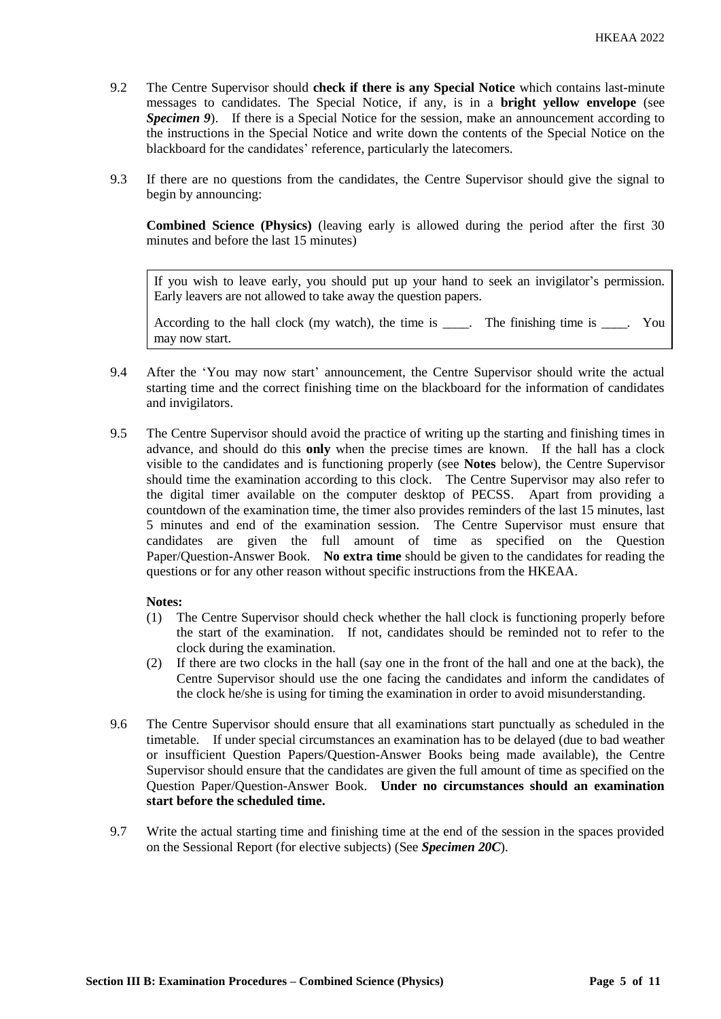- 9.2 The Centre Supervisor should **check if there is any Special Notice** which contains last-minute messages to candidates. The Special Notice, if any, is in a **bright yellow envelope** (see *Specimen 9*). If there is a Special Notice for the session, make an announcement according to the instructions in the Special Notice and write down the contents of the Special Notice on the blackboard for the candidates' reference, particularly the latecomers.
- 9.3 If there are no questions from the candidates, the Centre Supervisor should give the signal to begin by announcing:

**Combined Science (Physics)** (leaving early is allowed during the period after the first 30 minutes and before the last 15 minutes)

If you wish to leave early, you should put up your hand to seek an invigilator's permission. Early leavers are not allowed to take away the question papers.

According to the hall clock (my watch), the time is \_\_\_\_. The finishing time is \_\_\_\_. You may now start.

- 9.4 After the 'You may now start' announcement, the Centre Supervisor should write the actual starting time and the correct finishing time on the blackboard for the information of candidates and invigilators.
- 9.5 The Centre Supervisor should avoid the practice of writing up the starting and finishing times in advance, and should do this **only** when the precise times are known. If the hall has a clock visible to the candidates and is functioning properly (see **Notes** below), the Centre Supervisor should time the examination according to this clock. The Centre Supervisor may also refer to the digital timer available on the computer desktop of PECSS. Apart from providing a countdown of the examination time, the timer also provides reminders of the last 15 minutes, last 5 minutes and end of the examination session. The Centre Supervisor must ensure that candidates are given the full amount of time as specified on the Question Paper/Question-Answer Book. **No extra time** should be given to the candidates for reading the questions or for any other reason without specific instructions from the HKEAA.

# **Notes:**

- (1) The Centre Supervisor should check whether the hall clock is functioning properly before the start of the examination. If not, candidates should be reminded not to refer to the clock during the examination.
- (2) If there are two clocks in the hall (say one in the front of the hall and one at the back), the Centre Supervisor should use the one facing the candidates and inform the candidates of the clock he/she is using for timing the examination in order to avoid misunderstanding.
- 9.6 The Centre Supervisor should ensure that all examinations start punctually as scheduled in the timetable. If under special circumstances an examination has to be delayed (due to bad weather or insufficient Question Papers/Question-Answer Books being made available), the Centre Supervisor should ensure that the candidates are given the full amount of time as specified on the Question Paper/Question-Answer Book. **Under no circumstances should an examination start before the scheduled time.**
- 9.7 Write the actual starting time and finishing time at the end of the session in the spaces provided on the Sessional Report (for elective subjects) (See *Specimen 20C*).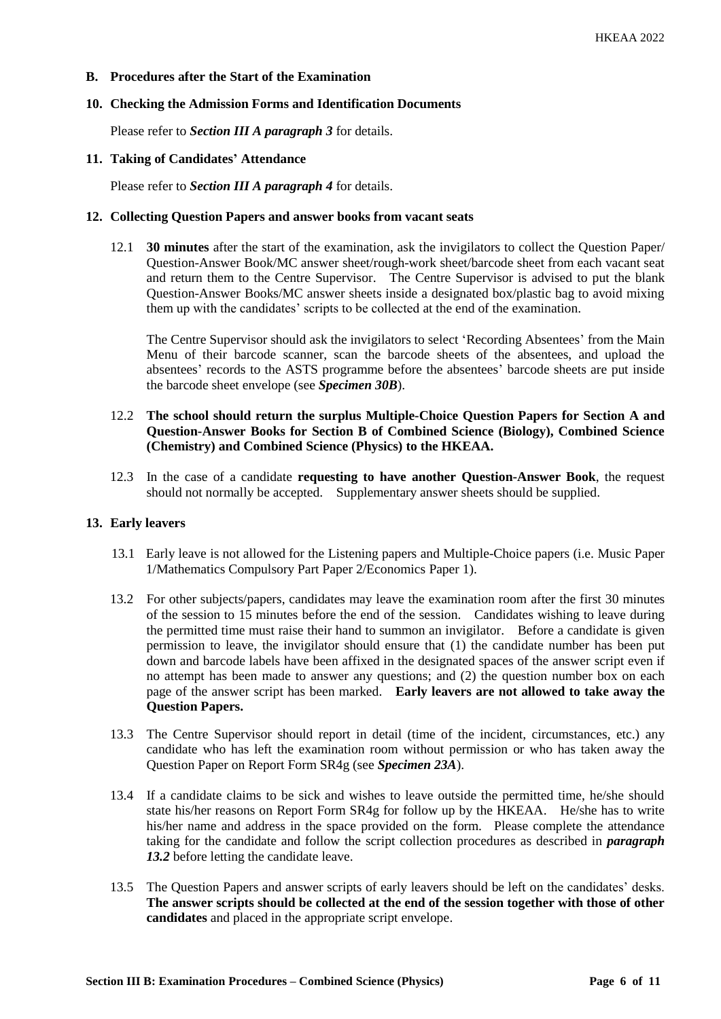# **B. Procedures after the Start of the Examination**

### **10. Checking the Admission Forms and Identification Documents**

Please refer to *Section III A paragraph 3* for details.

# **11. Taking of Candidates' Attendance**

Please refer to *Section III A paragraph 4* for details.

### **12. Collecting Question Papers and answer books from vacant seats**

12.1 **30 minutes** after the start of the examination, ask the invigilators to collect the Question Paper/ Question-Answer Book/MC answer sheet/rough-work sheet/barcode sheet from each vacant seat and return them to the Centre Supervisor. The Centre Supervisor is advised to put the blank Question-Answer Books/MC answer sheets inside a designated box/plastic bag to avoid mixing them up with the candidates' scripts to be collected at the end of the examination.

The Centre Supervisor should ask the invigilators to select 'Recording Absentees' from the Main Menu of their barcode scanner, scan the barcode sheets of the absentees, and upload the absentees' records to the ASTS programme before the absentees' barcode sheets are put inside the barcode sheet envelope (see *Specimen 30B*).

# 12.2 **The school should return the surplus Multiple-Choice Question Papers for Section A and Question-Answer Books for Section B of Combined Science (Biology), Combined Science (Chemistry) and Combined Science (Physics) to the HKEAA.**

12.3 In the case of a candidate **requesting to have another Question-Answer Book**, the request should not normally be accepted. Supplementary answer sheets should be supplied.

#### **13. Early leavers**

- 13.1 Early leave is not allowed for the Listening papers and Multiple-Choice papers (i.e. Music Paper 1/Mathematics Compulsory Part Paper 2/Economics Paper 1).
- 13.2 For other subjects/papers, candidates may leave the examination room after the first 30 minutes of the session to 15 minutes before the end of the session. Candidates wishing to leave during the permitted time must raise their hand to summon an invigilator. Before a candidate is given permission to leave, the invigilator should ensure that (1) the candidate number has been put down and barcode labels have been affixed in the designated spaces of the answer script even if no attempt has been made to answer any questions; and (2) the question number box on each page of the answer script has been marked. **Early leavers are not allowed to take away the Question Papers.**
- 13.3 The Centre Supervisor should report in detail (time of the incident, circumstances, etc.) any candidate who has left the examination room without permission or who has taken away the Question Paper on Report Form SR4g (see *Specimen 23A*).
- 13.4 If a candidate claims to be sick and wishes to leave outside the permitted time, he/she should state his/her reasons on Report Form SR4g for follow up by the HKEAA. He/she has to write his/her name and address in the space provided on the form. Please complete the attendance taking for the candidate and follow the script collection procedures as described in *paragraph 13.2* before letting the candidate leave.
- 13.5 The Question Papers and answer scripts of early leavers should be left on the candidates' desks. **The answer scripts should be collected at the end of the session together with those of other candidates** and placed in the appropriate script envelope.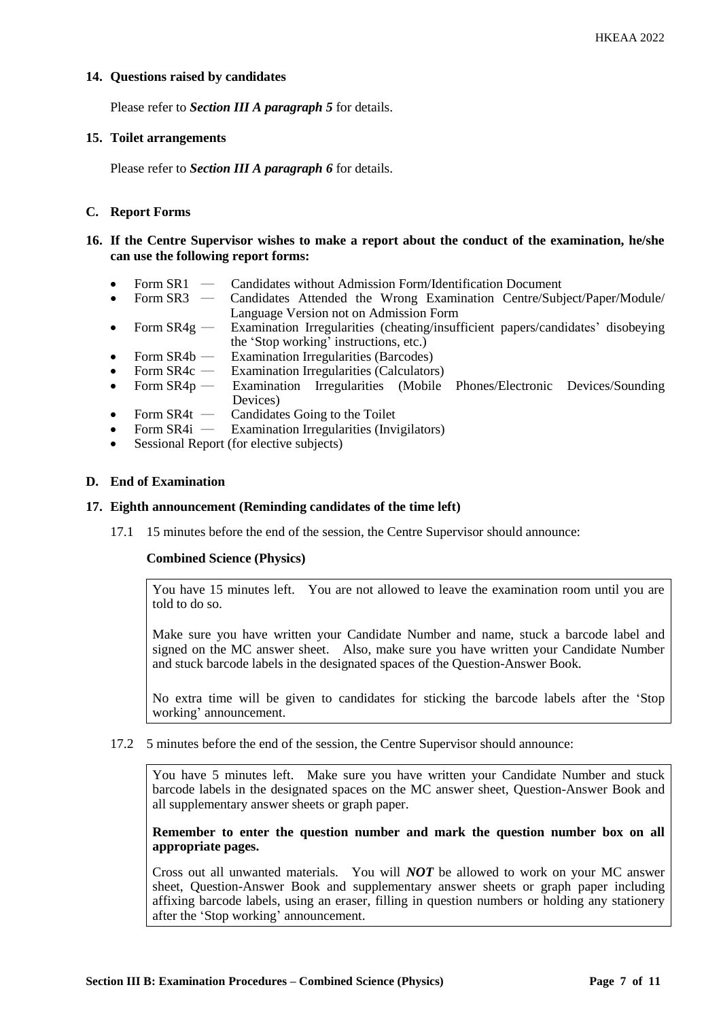# **14. Questions raised by candidates**

Please refer to *Section III A paragraph 5* for details.

### **15. Toilet arrangements**

Please refer to *Section III A paragraph 6* for details.

# **C. Report Forms**

# **16. If the Centre Supervisor wishes to make a report about the conduct of the examination, he/she can use the following report forms:**

- Form SR1 Candidates without Admission Form/Identification Document
- Form SR3 Candidates Attended the Wrong Examination Centre/Subject/Paper/Module/ Language Version not on Admission Form
- Form  $SR4g$  Examination Irregularities (cheating/insufficient papers/candidates' disobeying the 'Stop working' instructions, etc.)
- Form  $SR4b$  Examination Irregularities (Barcodes)
- 
- Form SR4c Examination Irregularities (Calculators)<br>Form SR4p Examination Irregularities (Mobile • Form SR4p — Examination Irregularities (Mobile Phones/Electronic Devices/Sounding Devices)
- Form SR4t Candidates Going to the Toilet<br>• Form SR4i Examination Irregularities (Invi
- **Examination Irregularities (Invigilators)**
- Sessional Report (for elective subjects)

# **D. End of Examination**

### **17. Eighth announcement (Reminding candidates of the time left)**

17.1 15 minutes before the end of the session, the Centre Supervisor should announce:

# **Combined Science (Physics)**

You have 15 minutes left. You are not allowed to leave the examination room until you are told to do so.

Make sure you have written your Candidate Number and name, stuck a barcode label and signed on the MC answer sheet. Also, make sure you have written your Candidate Number and stuck barcode labels in the designated spaces of the Question-Answer Book.

No extra time will be given to candidates for sticking the barcode labels after the 'Stop working' announcement.

17.2 5 minutes before the end of the session, the Centre Supervisor should announce:

You have 5 minutes left. Make sure you have written your Candidate Number and stuck barcode labels in the designated spaces on the MC answer sheet, Question-Answer Book and all supplementary answer sheets or graph paper.

# **Remember to enter the question number and mark the question number box on all appropriate pages.**

Cross out all unwanted materials. You will *NOT* be allowed to work on your MC answer sheet, Question-Answer Book and supplementary answer sheets or graph paper including affixing barcode labels, using an eraser, filling in question numbers or holding any stationery after the 'Stop working' announcement.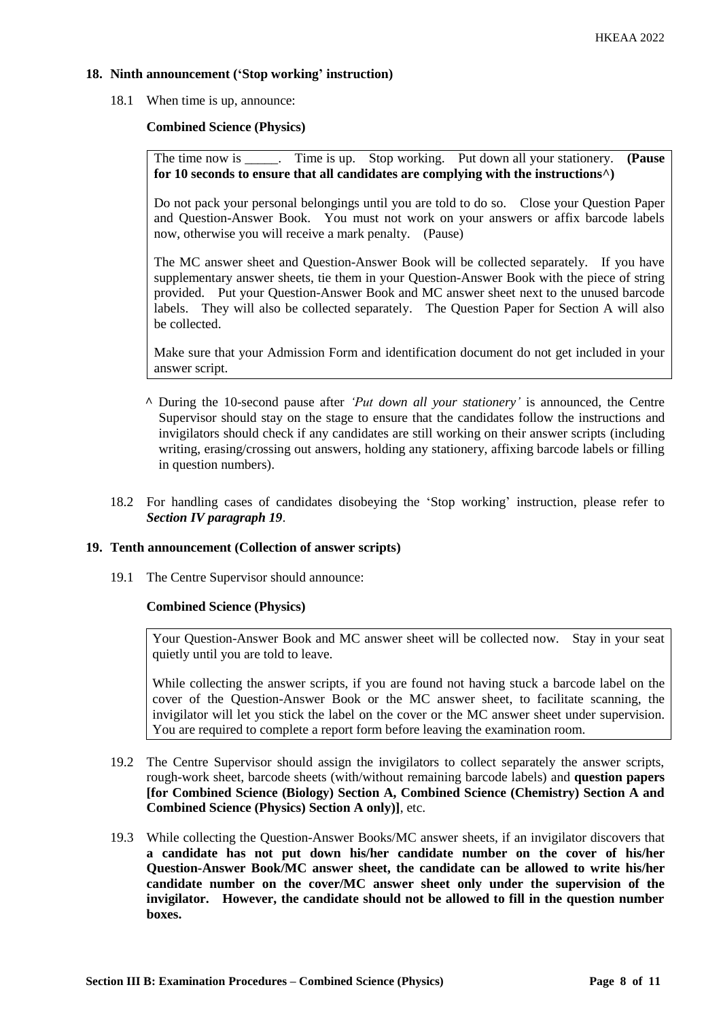# **18. Ninth announcement ('Stop working' instruction)**

18.1 When time is up, announce:

# **Combined Science (Physics)**

The time now is \_\_\_\_\_. Time is up. Stop working. Put down all your stationery. **(Pause for 10 seconds to ensure that all candidates are complying with the instructions^)**

Do not pack your personal belongings until you are told to do so. Close your Question Paper and Question-Answer Book. You must not work on your answers or affix barcode labels now, otherwise you will receive a mark penalty. (Pause)

The MC answer sheet and Question-Answer Book will be collected separately. If you have supplementary answer sheets, tie them in your Question-Answer Book with the piece of string provided. Put your Question-Answer Book and MC answer sheet next to the unused barcode labels. They will also be collected separately. The Question Paper for Section A will also be collected.

Make sure that your Admission Form and identification document do not get included in your answer script.

- **^** During the 10-second pause after *'Put down all your stationery'* is announced, the Centre Supervisor should stay on the stage to ensure that the candidates follow the instructions and invigilators should check if any candidates are still working on their answer scripts (including writing, erasing/crossing out answers, holding any stationery, affixing barcode labels or filling in question numbers).
- 18.2 For handling cases of candidates disobeying the 'Stop working' instruction, please refer to *Section IV paragraph 19*.

#### **19. Tenth announcement (Collection of answer scripts)**

19.1 The Centre Supervisor should announce:

#### **Combined Science (Physics)**

Your Question-Answer Book and MC answer sheet will be collected now. Stay in your seat quietly until you are told to leave.

While collecting the answer scripts, if you are found not having stuck a barcode label on the cover of the Question-Answer Book or the MC answer sheet, to facilitate scanning, the invigilator will let you stick the label on the cover or the MC answer sheet under supervision. You are required to complete a report form before leaving the examination room.

- 19.2 The Centre Supervisor should assign the invigilators to collect separately the answer scripts, rough-work sheet, barcode sheets (with/without remaining barcode labels) and **question papers [for Combined Science (Biology) Section A, Combined Science (Chemistry) Section A and Combined Science (Physics) Section A only)]**, etc.
- 19.3 While collecting the Question-Answer Books/MC answer sheets, if an invigilator discovers that **a candidate has not put down his/her candidate number on the cover of his/her Question-Answer Book/MC answer sheet, the candidate can be allowed to write his/her candidate number on the cover/MC answer sheet only under the supervision of the invigilator. However, the candidate should not be allowed to fill in the question number boxes.**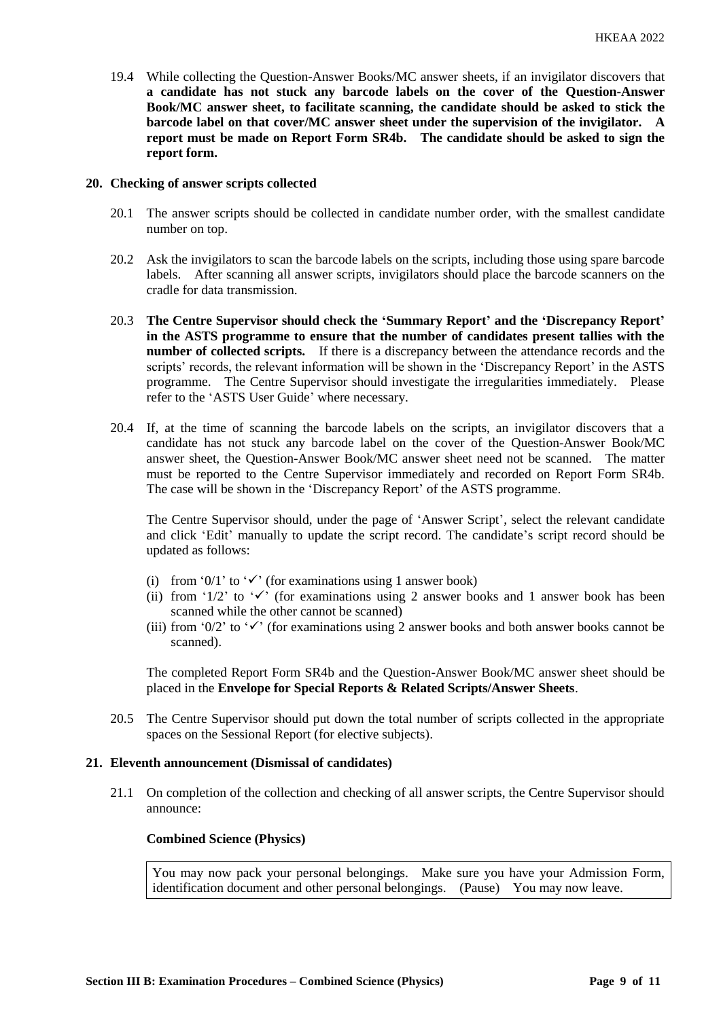19.4 While collecting the Question-Answer Books/MC answer sheets, if an invigilator discovers that **a candidate has not stuck any barcode labels on the cover of the Question-Answer Book/MC answer sheet, to facilitate scanning, the candidate should be asked to stick the barcode label on that cover/MC answer sheet under the supervision of the invigilator. A report must be made on Report Form SR4b. The candidate should be asked to sign the report form.** 

### **20. Checking of answer scripts collected**

- 20.1 The answer scripts should be collected in candidate number order, with the smallest candidate number on top.
- 20.2 Ask the invigilators to scan the barcode labels on the scripts, including those using spare barcode labels. After scanning all answer scripts, invigilators should place the barcode scanners on the cradle for data transmission.
- 20.3 **The Centre Supervisor should check the 'Summary Report' and the 'Discrepancy Report' in the ASTS programme to ensure that the number of candidates present tallies with the number of collected scripts.** If there is a discrepancy between the attendance records and the scripts' records, the relevant information will be shown in the 'Discrepancy Report' in the ASTS programme. The Centre Supervisor should investigate the irregularities immediately. Please refer to the 'ASTS User Guide' where necessary.
- 20.4 If, at the time of scanning the barcode labels on the scripts, an invigilator discovers that a candidate has not stuck any barcode label on the cover of the Question-Answer Book/MC answer sheet, the Question-Answer Book/MC answer sheet need not be scanned. The matter must be reported to the Centre Supervisor immediately and recorded on Report Form SR4b. The case will be shown in the 'Discrepancy Report' of the ASTS programme.

The Centre Supervisor should, under the page of 'Answer Script', select the relevant candidate and click 'Edit' manually to update the script record. The candidate's script record should be updated as follows:

- (i) from '0/1' to ' $\checkmark$ ' (for examinations using 1 answer book)
- (ii) from '1/2' to ' $\checkmark$ ' (for examinations using 2 answer books and 1 answer book has been scanned while the other cannot be scanned)
- (iii) from '0/2' to ' $\checkmark$ ' (for examinations using 2 answer books and both answer books cannot be scanned).

The completed Report Form SR4b and the Question-Answer Book/MC answer sheet should be placed in the **Envelope for Special Reports & Related Scripts/Answer Sheets**.

20.5 The Centre Supervisor should put down the total number of scripts collected in the appropriate spaces on the Sessional Report (for elective subjects).

#### **21. Eleventh announcement (Dismissal of candidates)**

21.1 On completion of the collection and checking of all answer scripts, the Centre Supervisor should announce:

#### **Combined Science (Physics)**

You may now pack your personal belongings. Make sure you have your Admission Form, identification document and other personal belongings. (Pause) You may now leave.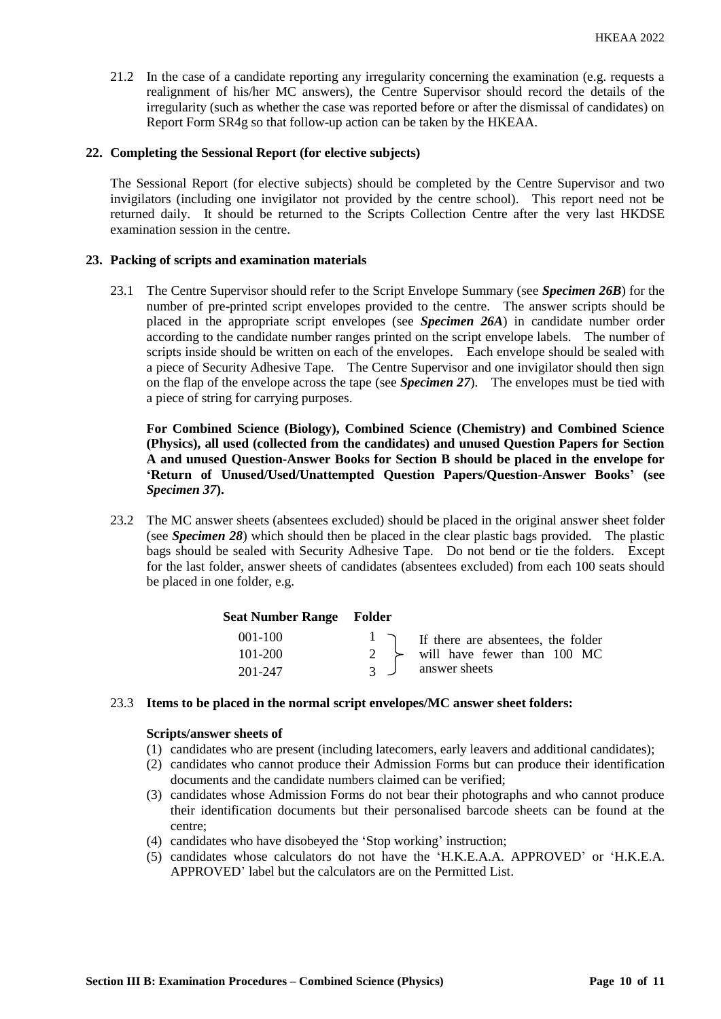21.2 In the case of a candidate reporting any irregularity concerning the examination (e.g. requests a realignment of his/her MC answers), the Centre Supervisor should record the details of the irregularity (such as whether the case was reported before or after the dismissal of candidates) on Report Form SR4g so that follow-up action can be taken by the HKEAA.

# **22. Completing the Sessional Report (for elective subjects)**

The Sessional Report (for elective subjects) should be completed by the Centre Supervisor and two invigilators (including one invigilator not provided by the centre school). This report need not be returned daily. It should be returned to the Scripts Collection Centre after the very last HKDSE examination session in the centre.

# **23. Packing of scripts and examination materials**

23.1 The Centre Supervisor should refer to the Script Envelope Summary (see *Specimen 26B*) for the number of pre-printed script envelopes provided to the centre. The answer scripts should be placed in the appropriate script envelopes (see *Specimen 26A*) in candidate number order according to the candidate number ranges printed on the script envelope labels. The number of scripts inside should be written on each of the envelopes. Each envelope should be sealed with a piece of Security Adhesive Tape. The Centre Supervisor and one invigilator should then sign on the flap of the envelope across the tape (see *Specimen 27*). The envelopes must be tied with a piece of string for carrying purposes.

**For Combined Science (Biology), Combined Science (Chemistry) and Combined Science (Physics), all used (collected from the candidates) and unused Question Papers for Section A and unused Question-Answer Books for Section B should be placed in the envelope for 'Return of Unused/Used/Unattempted Question Papers/Question-Answer Books' (see**  *Specimen 37***).**

23.2 The MC answer sheets (absentees excluded) should be placed in the original answer sheet folder (see *Specimen 28*) which should then be placed in the clear plastic bags provided. The plastic bags should be sealed with Security Adhesive Tape. Do not bend or tie the folders. Except for the last folder, answer sheets of candidates (absentees excluded) from each 100 seats should be placed in one folder, e.g.

| <b>Seat Number Range Folder</b> |                |                                                         |
|---------------------------------|----------------|---------------------------------------------------------|
| $001 - 100$                     |                | $\frac{1}{\sqrt{1}}$ If there are absentees, the folder |
| $101 - 200$                     |                | 2 $\rightarrow$ will have fewer than 100 MC             |
| 201-247                         | $\overline{3}$ | answer sheets                                           |

# 23.3 **Items to be placed in the normal script envelopes/MC answer sheet folders:**

### **Scripts/answer sheets of**

- (1) candidates who are present (including latecomers, early leavers and additional candidates);
- (2) candidates who cannot produce their Admission Forms but can produce their identification documents and the candidate numbers claimed can be verified;
- (3) candidates whose Admission Forms do not bear their photographs and who cannot produce their identification documents but their personalised barcode sheets can be found at the centre;
- (4) candidates who have disobeyed the 'Stop working' instruction;
- (5) candidates whose calculators do not have the 'H.K.E.A.A. APPROVED' or 'H.K.E.A. APPROVED' label but the calculators are on the Permitted List.